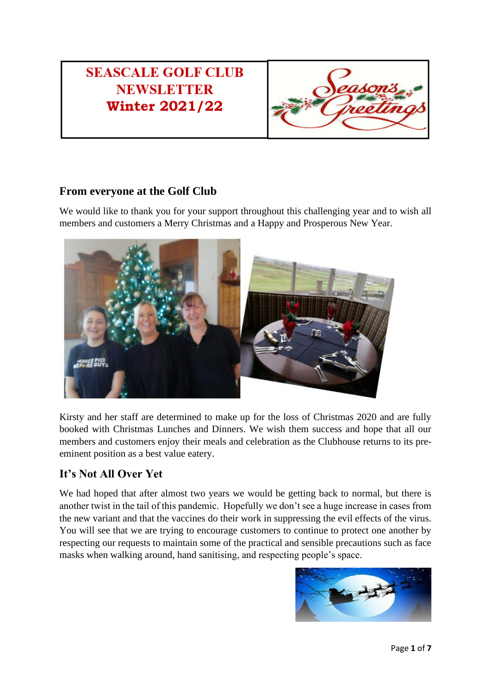# **SEASCALE GOLF CLUB NEWSLETTER Winter 2021/22**



## **From everyone at the Golf Club**

We would like to thank you for your support throughout this challenging year and to wish all members and customers a Merry Christmas and a Happy and Prosperous New Year.



Kirsty and her staff are determined to make up for the loss of Christmas 2020 and are fully booked with Christmas Lunches and Dinners. We wish them success and hope that all our members and customers enjoy their meals and celebration as the Clubhouse returns to its preeminent position as a best value eatery.

# **It's Not All Over Yet**

We had hoped that after almost two years we would be getting back to normal, but there is another twist in the tail of this pandemic. Hopefully we don't see a huge increase in cases from the new variant and that the vaccines do their work in suppressing the evil effects of the virus. You will see that we are trying to encourage customers to continue to protect one another by respecting our requests to maintain some of the practical and sensible precautions such as face masks when walking around, hand sanitising, and respecting people's space.

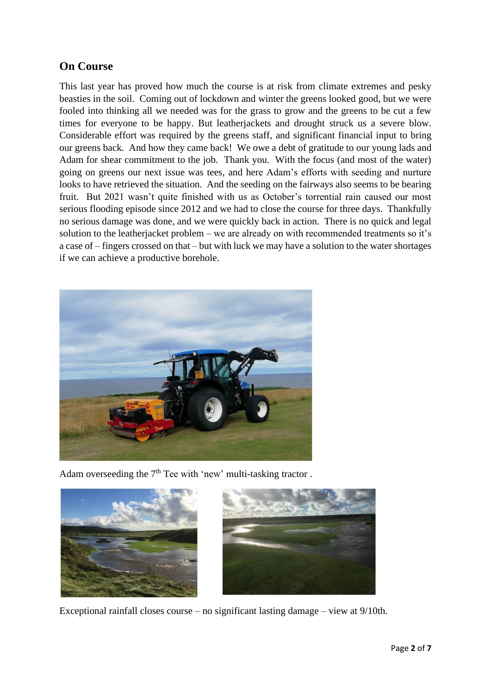#### **On Course**

This last year has proved how much the course is at risk from climate extremes and pesky beasties in the soil. Coming out of lockdown and winter the greens looked good, but we were fooled into thinking all we needed was for the grass to grow and the greens to be cut a few times for everyone to be happy. But leatherjackets and drought struck us a severe blow. Considerable effort was required by the greens staff, and significant financial input to bring our greens back. And how they came back! We owe a debt of gratitude to our young lads and Adam for shear commitment to the job. Thank you. With the focus (and most of the water) going on greens our next issue was tees, and here Adam's efforts with seeding and nurture looks to have retrieved the situation. And the seeding on the fairways also seems to be bearing fruit. But 2021 wasn't quite finished with us as October's torrential rain caused our most serious flooding episode since 2012 and we had to close the course for three days. Thankfully no serious damage was done, and we were quickly back in action. There is no quick and legal solution to the leatherjacket problem – we are already on with recommended treatments so it's a case of – fingers crossed on that – but with luck we may have a solution to the water shortages if we can achieve a productive borehole.



Adam overseeding the  $7<sup>th</sup>$  Tee with 'new' multi-tasking tractor.





Exceptional rainfall closes course – no significant lasting damage – view at 9/10th.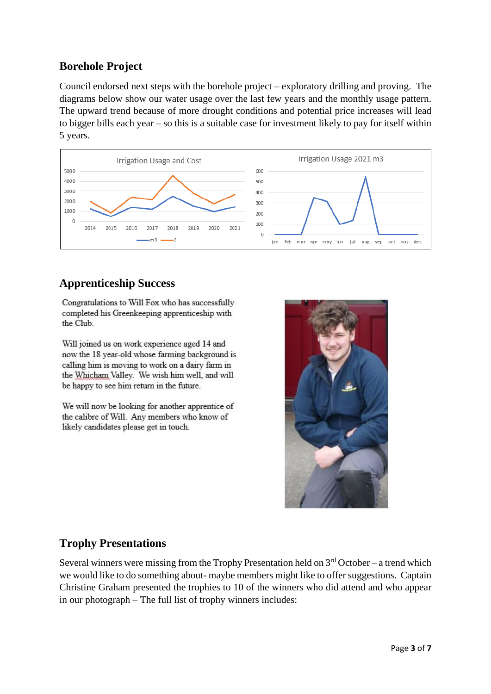# **Borehole Project**

Council endorsed next steps with the borehole project – exploratory drilling and proving. The diagrams below show our water usage over the last few years and the monthly usage pattern. The upward trend because of more drought conditions and potential price increases will lead to bigger bills each year – so this is a suitable case for investment likely to pay for itself within 5 years.



## **Apprenticeship Success**

Congratulations to Will Fox who has successfully completed his Greenkeeping apprenticeship with the Club.

Will joined us on work experience aged 14 and now the 18 year-old whose farming background is calling him is moving to work on a dairy farm in the Whicham Valley. We wish him well, and will be happy to see him return in the future.

We will now be looking for another apprentice of the calibre of Will. Any members who know of likely candidates please get in touch.



## **Trophy Presentations**

Several winners were missing from the Trophy Presentation held on  $3<sup>rd</sup>$  October – a trend which we would like to do something about- maybe members might like to offer suggestions. Captain Christine Graham presented the trophies to 10 of the winners who did attend and who appear in our photograph – The full list of trophy winners includes: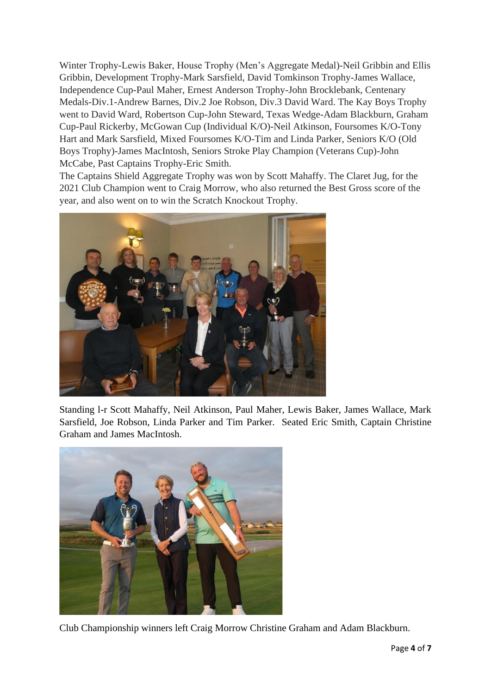Winter Trophy-Lewis Baker, House Trophy (Men's Aggregate Medal)-Neil Gribbin and Ellis Gribbin, Development Trophy-Mark Sarsfield, David Tomkinson Trophy-James Wallace, Independence Cup-Paul Maher, Ernest Anderson Trophy-John Brocklebank, Centenary Medals-Div.1-Andrew Barnes, Div.2 Joe Robson, Div.3 David Ward. The Kay Boys Trophy went to David Ward, Robertson Cup-John Steward, Texas Wedge-Adam Blackburn, Graham Cup-Paul Rickerby, McGowan Cup (Individual K/O)-Neil Atkinson, Foursomes K/O-Tony Hart and Mark Sarsfield, Mixed Foursomes K/O-Tim and Linda Parker, Seniors K/O (Old Boys Trophy)-James MacIntosh, Seniors Stroke Play Champion (Veterans Cup)-John McCabe, Past Captains Trophy-Eric Smith.

The Captains Shield Aggregate Trophy was won by Scott Mahaffy. The Claret Jug, for the 2021 Club Champion went to Craig Morrow, who also returned the Best Gross score of the year, and also went on to win the Scratch Knockout Trophy.



Standing l-r Scott Mahaffy, Neil Atkinson, Paul Maher, Lewis Baker, James Wallace, Mark Sarsfield, Joe Robson, Linda Parker and Tim Parker. Seated Eric Smith, Captain Christine Graham and James MacIntosh.



Club Championship winners left Craig Morrow Christine Graham and Adam Blackburn.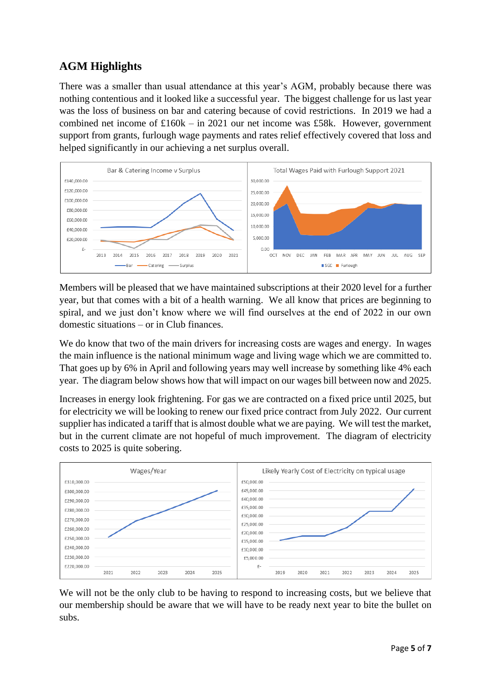# **AGM Highlights**

There was a smaller than usual attendance at this year's AGM, probably because there was nothing contentious and it looked like a successful year. The biggest challenge for us last year was the loss of business on bar and catering because of covid restrictions. In 2019 we had a combined net income of £160k – in 2021 our net income was £58k. However, government support from grants, furlough wage payments and rates relief effectively covered that loss and helped significantly in our achieving a net surplus overall.



Members will be pleased that we have maintained subscriptions at their 2020 level for a further year, but that comes with a bit of a health warning. We all know that prices are beginning to spiral, and we just don't know where we will find ourselves at the end of 2022 in our own domestic situations – or in Club finances.

We do know that two of the main drivers for increasing costs are wages and energy. In wages the main influence is the national minimum wage and living wage which we are committed to. That goes up by 6% in April and following years may well increase by something like 4% each year. The diagram below shows how that will impact on our wages bill between now and 2025.

Increases in energy look frightening. For gas we are contracted on a fixed price until 2025, but for electricity we will be looking to renew our fixed price contract from July 2022. Our current supplier has indicated a tariff that is almost double what we are paying. We will test the market, but in the current climate are not hopeful of much improvement. The diagram of electricity costs to 2025 is quite sobering.



We will not be the only club to be having to respond to increasing costs, but we believe that our membership should be aware that we will have to be ready next year to bite the bullet on subs.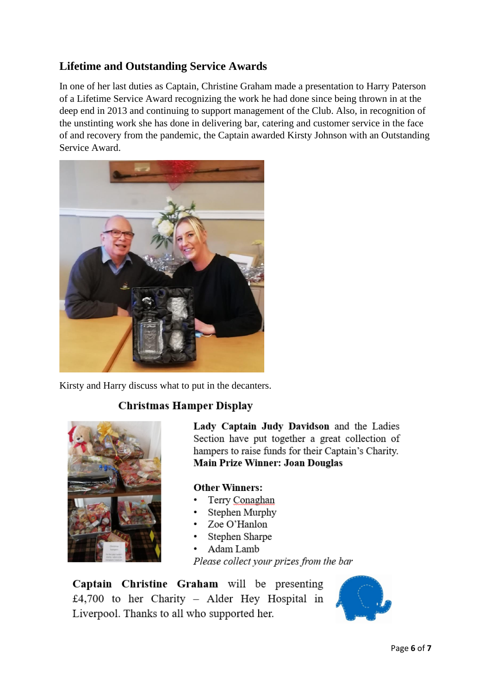# **Lifetime and Outstanding Service Awards**

In one of her last duties as Captain, Christine Graham made a presentation to Harry Paterson of a Lifetime Service Award recognizing the work he had done since being thrown in at the deep end in 2013 and continuing to support management of the Club. Also, in recognition of the unstinting work she has done in delivering bar, catering and customer service in the face of and recovery from the pandemic, the Captain awarded Kirsty Johnson with an Outstanding Service Award.



Kirsty and Harry discuss what to put in the decanters.

## **Christmas Hamper Display**



Lady Captain Judy Davidson and the Ladies Section have put together a great collection of hampers to raise funds for their Captain's Charity. **Main Prize Winner: Joan Douglas** 

#### **Other Winners:**

- Terry Conaghan
- Stephen Murphy
- Zoe O'Hanlon
- Stephen Sharpe
- Adam Lamb Please collect your prizes from the bar

Captain Christine Graham will be presenting £4,700 to her Charity - Alder Hey Hospital in Liverpool. Thanks to all who supported her.